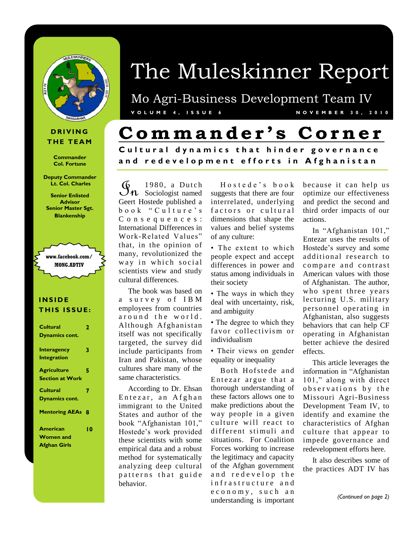

#### **D R I V I N G THE TEAM**

**Commander Col. Fortune**

**Deputy Commander Lt. Col. Charles**

**Senior Enlisted Advisor Senior Master Sgt. Blankenship** 



#### **I N S I D E THIS ISSUE:**

| Cultural                | 2  |
|-------------------------|----|
| Dynamics cont.          |    |
|                         |    |
| Interagency             | 3  |
| <b>Integration</b>      |    |
| <b>Agriculture</b>      | 5  |
| <b>Section at Work</b>  |    |
| Cultural                | 7  |
|                         |    |
| <b>Dynamics cont.</b>   |    |
| <b>Mentoring AEAs 8</b> |    |
| American                | 10 |
| <b>Women and</b>        |    |
| <b>Afghan Girls</b>     |    |
|                         |    |

# The Muleskinner Report

Mo Agri-Business Development Team IV **V O L U M E 4 , I S S U E 6 N O V E M B E R 3 0 , 2 0 1 0**

## **C omm a n d e r ' s C o r n e r**

**Cultural dynamics that hinder governance a n d r e d e v e l o p m e n t e f f o r t s i n A f g h a n i s t a n**

 $\mathfrak{G}_{n}$  1980, a Dutch<br>Coart Hecteds published a Geert Hostede published a book "Culture's C o n s e q u e n c e s : International Differences in Work-Related Values" that, in the opinion of many, revolutionized the way in which social scientists view and study cultural differences.

 The book was based on a survey of IBM employees from countries around the world. Although Afghanistan itself was not specifically targeted, the survey did include participants from Iran and Pakistan, whose cultures share many of the same characteristics.

 According to Dr. Ehsan Entezar, an Afghan immigrant to the United States and author of the book "Afghanistan 101," Hostede's work provided these scientists with some empirical data and a robust method for systematically analyzing deep cultural patterns that guide behavior.

Hostede's book suggests that there are four interrelated, underlying factors or cultural dimensions that shape the values and belief systems of any culture:

• The extent to which people expect and accept differences in power and status among individuals in their society

• The ways in which they deal with uncertainty, risk, and ambiguity

• The degree to which they favor collectivism or individualism

• Their views on gender equality or inequality

Both Hofstede and Entezar argue that a thorough understanding of these factors allows one to make predictions about the way people in a given culture will react to different stimuli and situations. For Coalition Forces working to increase the legitimacy and capacity of the Afghan government and redevelop the infrastructure and e c o n o m y, such an understanding is important

because it can help us optimize our effectiveness and predict the second and third order impacts of our actions.

 In "Afghanistan 101," Entezar uses the results of Hostede's survey and some additional research to compare and contrast American values with those of Afghanistan. The author, who spent three years lecturing U.S. military personnel operating in Afghanistan, also suggests behaviors that can help CF operating in Afghanistan better achieve the desired effects.

 This article leverages the information in "Afghanistan 101," along with direct observations by the Missouri Agri-Business Development Team IV, to identify and examine the characteristics of Afghan culture that appear to impede governance and redevelopment efforts here.

 It also describes some of the practices ADT IV has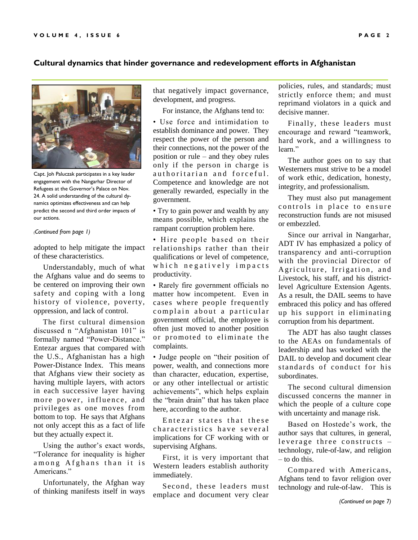#### **Cultural dynamics that hinder governance and redevelopment efforts in Afghanistan**



Capt. Joh Paluczak participates in a key leader engagement with the Nangarhar Director of Refugees at the Governor's Palace on Nov. 24. A solid understanding of the cultural dynamics optimizes effectiveness and can help predict the second and third order impacts of our actions.

#### *(Continued from page 1)*

adopted to help mitigate the impact of these characteristics.

 Understandably, much of what the Afghans value and do seems to be centered on improving their own safety and coping with a long history of violence, poverty, oppression, and lack of control.

 The first cultural dimension discussed n "Afghanistan 101" is formally named "Power-Distance." Entezar argues that compared with the U.S., Afghanistan has a high Power-Distance Index. This means that Afghans view their society as having multiple layers, with actors in each successive layer having more power, influence, and privileges as one moves from bottom to top. He says that Afghans not only accept this as a fact of life but they actually expect it.

 Using the author's exact words, "Tolerance for inequality is higher among Afghans than it is Americans."

 Unfortunately, the Afghan way of thinking manifests itself in ways that negatively impact governance, development, and progress.

For instance, the Afghans tend to:

• Use force and intimidation to establish dominance and power. They respect the power of the person and their connections, not the power of the position or rule – and they obey rules only if the person in charge is authoritarian and forceful. Competence and knowledge are not generally rewarded, especially in the government.

• Try to gain power and wealth by any means possible, which explains the rampant corruption problem here.

• Hire people based on their relationships rather than their qualifications or level of competence, which negatively impacts productivity.

• Rarely fire government officials no matter how incompetent. Even in cases where people frequently complain about a particular government official, the employee is often just moved to another position or promoted to eliminate the complaints.

• Judge people on "their position of power, wealth, and connections more than character, education, expertise, or any other intellectual or artistic achievements", which helps explain the "brain drain" that has taken place here, according to the author.

Entezar states that these characteristics have several implications for CF working with or supervising Afghans.

 First, it is very important that Western leaders establish authority immediately.

 Second, these leaders must emplace and document very clear

policies, rules, and standards; must strictly enforce them; and must reprimand violators in a quick and decisive manner.

 Finally, these leaders must encourage and reward "teamwork, hard work, and a willingness to learn."

 The author goes on to say that Westerners must strive to be a model of work ethic, dedication, honesty, integrity, and professionalism.

 They must also put management controls in place to ensure reconstruction funds are not misused or embezzled.

 Since our arrival in Nangarhar, ADT IV has emphasized a policy of transparency and anti-corruption with the provincial Director of Agriculture, Irrigation, and Livestock, his staff, and his districtlevel Agriculture Extension Agents. As a result, the DAIL seems to have embraced this policy and has offered up his support in eliminating corruption from his department.

 The ADT has also taught classes to the AEAs on fundamentals of leadership and has worked with the DAIL to develop and document clear standards of conduct for his subordinates.

 The second cultural dimension discussed concerns the manner in which the people of a culture cope with uncertainty and manage risk.

 Based on Hostede's work, the author says that cultures, in general, leverage three constructs  $$ technology, rule-of-law, and religion – to do this.

 Compared with Americans, Afghans tend to favor religion over technology and rule-of-law. This is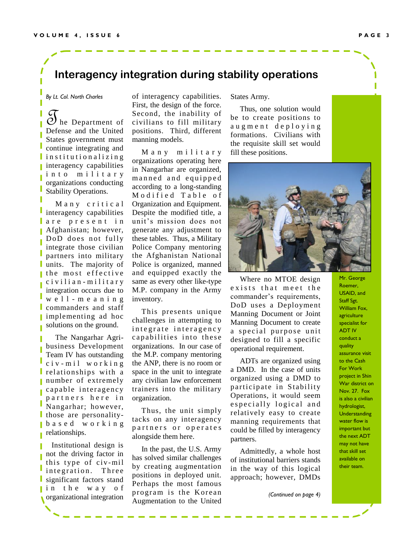### **Interagency integration during stability operations**

*By Lt. Col. North Charles*

 $\mathcal O$  he Department of Defense and the United States government must continue integrating and in stitutionalizing interagency capabilities into military organizations conducting Stability Operations.

Many critical interagency capabilities are present in Afghanistan; however, DoD does not fully integrate those civilian partners into military units. The majority of the most effective c i v i l i a n - m i l i t a r y integration occurs due to w e l l - m e a n i n g L commanders and staff implementing ad hoc solutions on the ground.

 The Nangarhar Agribusiness Development Team IV has outstanding  $c$  i v - m i l w o r k i n g relationships with a number of extremely capable interagency partners here in Nangarhar; however, I those are personalityb a s e d w o r k i n g I relationships.

 Institutional design is not the driving factor in this type of civ-mil integration. Three significant factors stand in the way of organizational integration

of interagency capabilities. First, the design of the force. Second, the inability of civilians to fill military positions. Third, different manning models.

 M a n y m i l i t a r y organizations operating here in Nangarhar are organized, manned and equipped according to a long-standing Modified Table of Organization and Equipment. Despite the modified title, a unit's mission does not generate any adjustment to these tables. Thus, a Military Police Company mentoring the Afghanistan National Police is organized, manned and equipped exactly the same as every other like-type M.P. company in the Army inventory.

 This presents unique challenges in attempting to integrate interagency capabilities into these organizations. In our case of the M.P. company mentoring the ANP, there is no room or space in the unit to integrate any civilian law enforcement trainers into the military organization.

 Thus, the unit simply tacks on any interagency partners or operates alongside them here.

 In the past, the U.S. Army has solved similar challenges by creating augmentation positions in deployed unit. Perhaps the most famous program is the Korean Augmentation to the United

States Army.

 Thus, one solution would be to create positions to a u g m e n t d e p l o y i n g formations. Civilians with the requisite skill set would fill these positions.



 Where no MTOE design exists that meet the commander's requirements, DoD uses a Deployment Manning Document or Joint Manning Document to create a special purpose unit designed to fill a specific operational requirement.

 ADTs are organized using a DMD. In the case of units organized using a DMD to participate in Stability Operations, it would seem e specially logical and relatively easy to create manning requirements that could be filled by interagency partners.

 Admittedly, a whole host of institutional barriers stands in the way of this logical approach; however, DMDs

*(Continued on page 4)*

Mr. George Roemer, USAID, and Staff Sgt. William Fox, agriculture specialist for ADT IV conduct a quality assurance visit to the Cash For Work project in Shin War district on Nov. 27. Fox is also a civilian hydrologist, **Understanding** water flow is important but the next ADT may not have that skill set available on their team.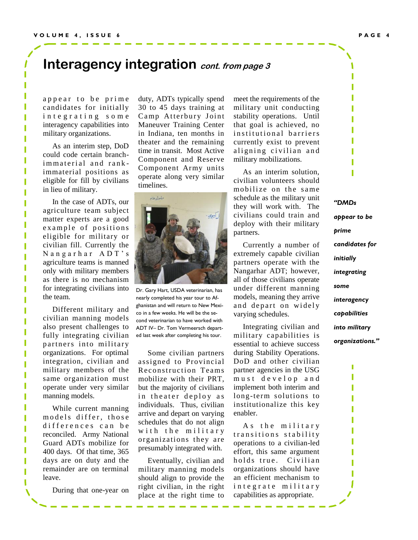### Interagency integration *cont. from page 3*

appear to be prime candidates for initially integrating some interagency capabilities into military organizations.

 As an interim step, DoD could code certain branchimmaterial and rankimmaterial positions as eligible for fill by civilians in lieu of military.

 In the case of ADTs, our agriculture team subject matter experts are a good example of positions eligible for military or civilian fill. Currently the N ang arhar ADT's agriculture teams is manned only with military members as there is no mechanism for integrating civilians into the team.

 Different military and civilian manning models also present challenges to fully integrating civilian partners into military organizations. For optimal integration, civilian and military members of the same organization must operate under very similar manning models.

 While current manning models differ, those differences can be reconciled. Army National Guard ADTs mobilize for 400 days. Of that time, 365 days are on duty and the remainder are on terminal leave.

During that one-year on

duty, ADTs typically spend 30 to 45 days training at Camp Atterbury Joint Maneuver Training Center in Indiana, ten months in theater and the remaining time in transit. Most Active Component and Reserve Component Army units operate along very similar timelines.



Dr. Gary Hart, USDA veterinarian, has nearly completed his year tour to Afghanistan and will return to New Mexico in a few weeks. He will be the second veterinarian to have worked with ADT IV– Dr. Tom Vermeersch departed last week after completing his tour.

 Some civilian partners assigned to Provincial Reconstruction Teams mobilize with their PRT, but the majority of civilians in theater deploy as individuals. Thus, civilian arrive and depart on varying schedules that do not align with the military organizations they are presumably integrated with.

 Eventually, civilian and military manning models should align to provide the right civilian, in the right place at the right time to

meet the requirements of the military unit conducting stability operations. Until that goal is achieved, no in stitutional barriers currently exist to prevent aligning civilian and military mobilizations.

 As an interim solution, civilian volunteers should mobilize on the same schedule as the military unit they will work with. The civilians could train and deploy with their military partners.

 Currently a number of extremely capable civilian partners operate with the Nangarhar ADT; however, all of those civilians operate under different manning models, meaning they arrive and depart on widely varying schedules.

 Integrating civilian and military capabilities is essential to achieve success during Stability Operations. DoD and other civilian partner agencies in the USG must develop and implement both interim and long-term solutions to institutionalize this key enabler.

As the military transitions stability operations to a civilian-led effort, this same argument holds true. Civilian organizations should have an efficient mechanism to integrate military capabilities as appropriate.

*"DMDs appear to be prime candidates for initially integrating some interagency capabilities into military organizations."*

> ľ I

> I I I I Π

I I I

ſ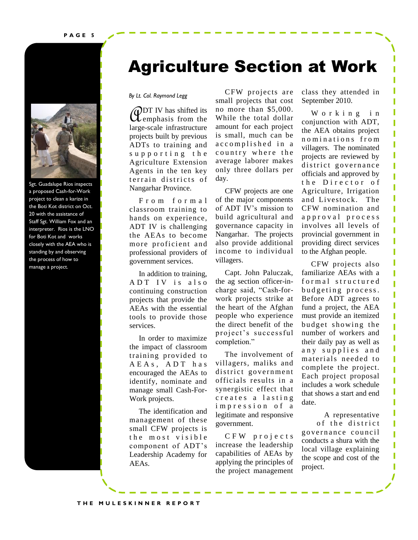

Sgt. Guadalupe Rios inspects a proposed Cash-for-Work project to clean a karize in the Boti Kot district on Oct. 20 with the assistance of Staff Sgt. William Fox and an interpreter. Rios is the LNO for Boti Kot and works closely with the AEA who is standing by and observing the process of how to manage a project.

## Agriculture Section at Work

#### *By Lt. Col. Raymond Legg*

**CODT IV** has shifted its<br>length and infractmenture emphasis from the large-scale infrastructure projects built by previous ADTs to training and supporting the Agriculture Extension Agents in the ten key terrain districts of Nangarhar Province.

 F r o m f o r m a l classroom training to hands on experience, ADT IV is challenging the AEAs to become more proficient and professional providers of government services.

 In addition to training, ADT IV is also continuing construction projects that provide the AEAs with the essential tools to provide those services.

 In order to maximize the impact of classroom training provided to A E A s, A D T h a s encouraged the AEAs to identify, nominate and manage small Cash-For-Work projects.

 The identification and management of these small CFW projects is the most visible component of ADT's Leadership Academy for AEAs.

 CFW projects are small projects that cost no more than \$5,000. While the total dollar amount for each project is small, much can be accomplished in a country where the average laborer makes only three dollars per day.

 CFW projects are one of the major components of ADT IV's mission to build agricultural and governance capacity in Nangarhar. The projects also provide additional income to individual villagers.

 Capt. John Paluczak, the ag section officer-incharge said, "Cash-forwork projects strike at the heart of the Afghan people who experience the direct benefit of the proj ect's successful completion."

 The involvement of villagers, maliks and district government officials results in a synergistic effect that creates a lasting i m p r e s s i o n o f a legitimate and responsive government.

 C F W p r o j e c t s increase the leadership capabilities of AEAs by applying the principles of the project management

class they attended in September 2010.

W orking in conjunction with ADT, the AEA obtains project n o m i n a t i o n s f r o m villagers. The nominated projects are reviewed by district governance officials and approved by the Director of Agriculture, Irrigation and Livestock. The CFW nomination and a p p r o v a l p r o c e s s involves all levels of provincial government in providing direct services to the Afghan people.

Г

Г

 CFW projects also familiarize AEAs with a formal structured budgeting process. Before ADT agrees to fund a project, the AEA must provide an itemized budget showing the number of workers and their daily pay as well as any supplies and materials needed to complete the project. Each project proposal includes a work schedule that shows a start and end date.

 A representative of the district governance council conducts a shura with the local village explaining the scope and cost of the project.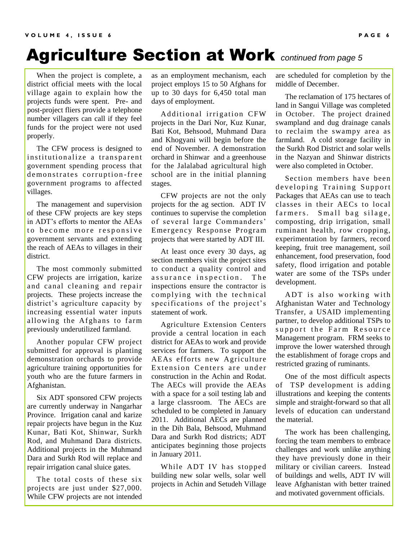## Agriculture Section at Work *continued from page 5*

 When the project is complete, a district official meets with the local village again to explain how the projects funds were spent. Pre- and post-project fliers provide a telephone number villagers can call if they feel funds for the project were not used properly.

 The CFW process is designed to institutionalize a transparent government spending process that demonstrates corruption-free government programs to affected villages.

 The management and supervision of these CFW projects are key steps in ADT's efforts to mentor the AEAs to become more responsive government servants and extending the reach of AEAs to villages in their district.

 The most commonly submitted CFW projects are irrigation, karize and canal cleaning and repair projects. These projects increase the district's agriculture capacity by increasing essential water inputs allowing the Afghans to farm previously underutilized farmland.

 Another popular CFW project submitted for approval is planting demonstration orchards to provide agriculture training opportunities for youth who are the future farmers in Afghanistan.

 Six ADT sponsored CFW projects are currently underway in Nangarhar Province. Irrigation canal and karize repair projects have begun in the Kuz Kunar, Bati Kot, Shinwar, Surkh Rod, and Muhmand Dara districts. Additional projects in the Muhmand Dara and Surkh Rod will replace and repair irrigation canal sluice gates.

 The total costs of these six projects are just under \$27,000. While CFW projects are not intended

as an employment mechanism, each project employs 15 to 50 Afghans for up to 30 days for 6,450 total man days of employment.

Additional irrigation CFW projects in the Dari Nor, Kuz Kunar, Bati Kot, Behsood, Muhmand Dara and Khogyani will begin before the end of November. A demonstration orchard in Shinwar and a greenhouse for the Jalalabad agricultural high school are in the initial planning stages.

 CFW projects are not the only projects for the ag section. ADT IV continues to supervise the completion of several large Commanders' Emergency Response Program projects that were started by ADT III.

 At least once every 30 days, ag section members visit the project sites to conduct a quality control and assurance inspection. The inspections ensure the contractor is complying with the technical specifications of the project's statement of work.

 Agriculture Extension Centers provide a central location in each district for AEAs to work and provide services for farmers. To support the AEAs efforts new Agriculture Extension Centers are under construction in the Achin and Rodat. The AECs will provide the AEAs with a space for a soil testing lab and a large classroom. The AECs are scheduled to be completed in January 2011. Additional AECs are planned in the Dih Bala, Behsood, Muhmand Dara and Surkh Rod districts; ADT anticipates beginning those projects in January 2011.

 While ADT IV has stopped building new solar wells, solar well projects in Achin and Setudeh Village

are scheduled for completion by the middle of December.

 The reclamation of 175 hectares of land in Sangui Village was completed in October. The project drained swampland and dug drainage canals to reclaim the swampy area as farmland. A cold storage facility in the Surkh Rod District and solar wells in the Nazyan and Shinwar districts were also completed in October.

 Section members have been developing Training Support Packages that AEAs can use to teach classes in their AECs to local farmers. Small bag silage, composting, drip irrigation, small ruminant health, row cropping, experimentation by farmers, record keeping, fruit tree management, soil enhancement, food preservation, food safety, flood irrigation and potable water are some of the TSPs under development.

ADT is also working with Afghanistan Water and Technology Transfer, a USAID implementing partner, to develop additional TSPs to support the Farm Resource Management program. FRM seeks to improve the lower watershed through the establishment of forage crops and restricted grazing of ruminants.

 One of the most difficult aspects of TSP development is adding illustrations and keeping the contents simple and straight-forward so that all levels of education can understand the material.

 The work has been challenging, forcing the team members to embrace challenges and work unlike anything they have previously done in their military or civilian careers. Instead of buildings and wells, ADT IV will leave Afghanistan with better trained and motivated government officials.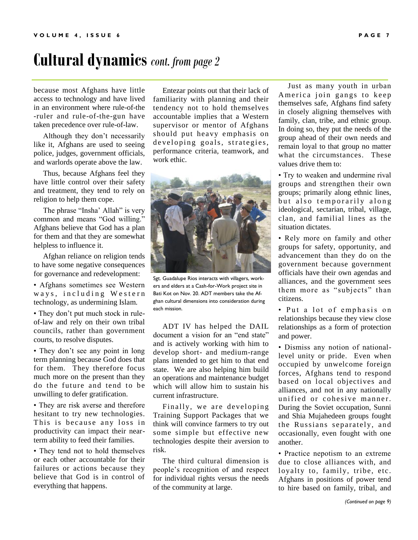## **Cultural dynamics** *cont. from page 2*

because most Afghans have little access to technology and have lived in an environment where rule-of-the -ruler and rule-of-the-gun have taken precedence over rule-of-law.

 Although they don't necessarily like it, Afghans are used to seeing police, judges, government officials, and warlords operate above the law.

 Thus, because Afghans feel they have little control over their safety and treatment, they tend to rely on religion to help them cope.

 The phrase "Insha' Allah" is very common and means "God willing." Afghans believe that God has a plan for them and that they are somewhat helpless to influence it.

 Afghan reliance on religion tends to have some negative consequences for governance and redevelopment:

• Afghans sometimes see Western ways, including Western technology, as undermining Islam.

• They don't put much stock in ruleof-law and rely on their own tribal councils, rather than government courts, to resolve disputes.

• They don't see any point in long term planning because God does that for them. They therefore focus much more on the present than they do the future and tend to be unwilling to defer gratification.

• They are risk averse and therefore hesitant to try new technologies. This is because any loss in productivity can impact their nearterm ability to feed their families.

• They tend not to hold themselves or each other accountable for their failures or actions because they believe that God is in control of everything that happens.

 Entezar points out that their lack of familiarity with planning and their tendency not to hold themselves accountable implies that a Western supervisor or mentor of Afghans should put heavy emphasis on developing goals, strategies, performance criteria, teamwork, and work ethic.



Sgt. Guadalupe Rios interacts with villagers, workers and elders at a Cash-for-Work project site in Bati Kot on Nov. 20. ADT members take the Afghan cultural dimensions into consideration during each mission.

 ADT IV has helped the DAIL document a vision for an "end state" and is actively working with him to develop short- and medium-range plans intended to get him to that end state. We are also helping him build an operations and maintenance budget which will allow him to sustain his current infrastructure.

 Finally, we are developing Training Support Packages that we think will convince farmers to try out some simple but effective new technologies despite their aversion to risk.

 The third cultural dimension is people's recognition of and respect for individual rights versus the needs of the community at large.

 Just as many youth in urban America join gangs to keep themselves safe, Afghans find safety in closely aligning themselves with family, clan, tribe, and ethnic group. In doing so, they put the needs of the group ahead of their own needs and remain loyal to that group no matter what the circumstances. These values drive them to:

• Try to weaken and undermine rival groups and strengthen their own groups; primarily along ethnic lines, but also temporarily along ideological, sectarian, tribal, village, clan, and familial lines as the situation dictates.

• Rely more on family and other groups for safety, opportunity, and advancement than they do on the government because government officials have their own agendas and alliances, and the government sees them more as "subjects" than citizens.

• Put a lot of emphasis on relationships because they view close relationships as a form of protection and power.

• Dismiss any notion of nationallevel unity or pride. Even when occupied by unwelcome foreign forces, Afghans tend to respond based on local objectives and alliances, and not in any nationally unified or cohesive manner. During the Soviet occupation, Sunni and Shia Mujahedeen groups fought the Russians separately, and occasionally, even fought with one another.

• Practice nepotism to an extreme due to close alliances with, and loyalty to, family, tribe, etc. Afghans in positions of power tend to hire based on family, tribal, and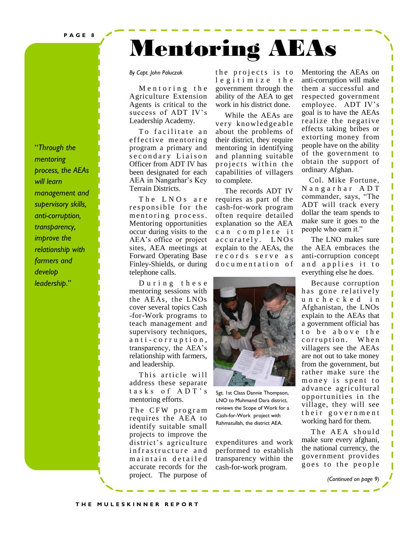**P A G E 8**

### "*Through the mentoring process, the AEAs will learn management and supervisory skills, anti-corruption, transparency, improve the relationship with farmers and develop leadership*."

#### *By Capt. John Paluczak*

Mentoring the Agriculture Extension Agents is critical to the success of ADT IV's Leadership Academy.

To facilitate an effective mentoring program a primary and s e c o n d a r y Liaison Officer from ADT IV has been designated for each AEA in Nangarhar's Key Terrain Districts.

The LNOs are responsible for the mentoring process. Mentoring opportunities occur during visits to the AEA's office or project sites, AEA meetings at Forward Operating Base Finley-Shields, or during telephone calls.

During these mentoring sessions with the AEAs, the LNOs cover several topics Cash -for-Work programs to teach management and supervisory techniques, a n t i - c o r r u p t i o n , transparency, the AEA's relationship with farmers, and leadership.

This article will address these separate tasks of ADT's mentoring efforts.

The CFW program requires the AEA to identify suitable small projects to improve the district's agriculture infrastructure and maintain detailed accurate records for the project. The purpose of

the projects is to l e g i t i m i z e t h e government through the ability of the AEA to get work in his district done.

Mentoring AEAs

 While the AEAs are very knowledgeable about the problems of their district, they require mentoring in identifying and planning suitable projects within the capabilities of villagers to complete.

 The records ADT IV requires as part of the cash-for-work program often require detailed explanation so the AEA can complete it accurately. LNOs explain to the AEAs, the records serve as do cumentation of



Sgt. 1st Class Dannie Thompson, LNO to Muhmand Dara district, reviews the Scope of Work for a Cash-for-Work project with Rahmatullah, the district AEA.

expenditures and work performed to establish transparency within the cash-for-work program.

Mentoring the AEAs on anti-corruption will make them a successful and respected government employee. ADT IV's goal is to have the AEAs realize the negative effects taking bribes or extorting money from people have on the ability of the government to obtain the support of ordinary Afghan.

Π Π

Π ľ

Π

Π

П

Ï Π ľ

Π

 Col. Mike Fortune, N a n g a r h a r A D T commander, says, "The ADT will track every dollar the team spends to make sure it goes to the people who earn it."

 The LNO makes sure the AEA embraces the anti-corruption concept and applies it to everything else he does.

 Because corruption has gone relatively u n c h e c k e d i n Afghanistan, the LNOs explain to the AEAs that a government official has to be above the corruption. When villagers see the AEAs are not out to take money from the government, but rather make sure the money is spent to advance agricultural opportunities in the village, they will see their government working hard for them.

The AEA should make sure every afghani, the national currency, the government provides goes to the people

*(Continued on page 9)*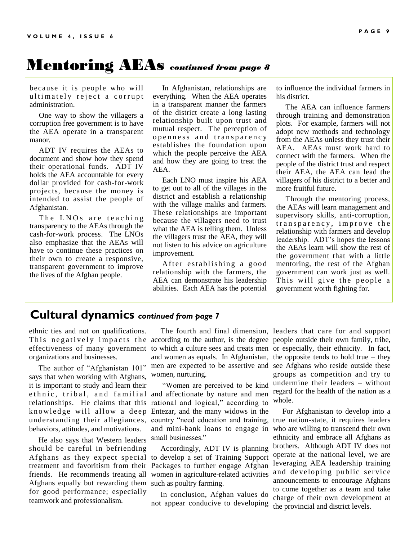### Mentoring AEAs *continued from page 8*

because it is people who will ultimately reject a corrupt administration.

 One way to show the villagers a corruption free government is to have the AEA operate in a transparent manor.

 ADT IV requires the AEAs to document and show how they spend their operational funds. ADT IV holds the AEA accountable for every dollar provided for cash-for-work projects, because the money is intended to assist the people of Afghanistan.

The LNOs are teaching transparency to the AEAs through the cash-for-work process. The LNOs also emphasize that the AEAs will have to continue these practices on their own to create a responsive, transparent government to improve the lives of the Afghan people.

 In Afghanistan, relationships are everything. When the AEA operates in a transparent manner the farmers of the district create a long lasting relationship built upon trust and mutual respect. The perception of o p e n n e s s a n d transparency establishes the foundation upon which the people perceive the AEA and how they are going to treat the AEA.

 Each LNO must inspire his AEA to get out to all of the villages in the district and establish a relationship with the village maliks and farmers. These relationships are important because the villagers need to trust what the AEA is telling them. Unless the villagers trust the AEA, they will not listen to his advice on agriculture improvement.

After establishing a good relationship with the farmers, the AEA can demonstrate his leadership abilities. Each AEA has the potential

to influence the individual farmers in his district.

 The AEA can influence farmers through training and demonstration plots. For example, farmers will not adopt new methods and technology from the AEAs unless they trust their AEA. AEAs must work hard to connect with the farmers. When the people of the district trust and respect their AEA, the AEA can lead the villagers of his district to a better and more fruitful future.

 Through the mentoring process, the AEAs will learn management and supervisory skills, anti-corruption, transparency, improve the relationship with farmers and develop leadership. ADT's hopes the lessons the AEAs learn will show the rest of the government that with a little mentoring, the rest of the Afghan government can work just as well. This will give the people a government worth fighting for.

### **Cultural dynamics** *continued from page 7*

ethnic ties and not on qualifications. organizations and businesses.

 The author of "Afghanistan 101" says that when working with Afghans, it is important to study and learn their relationships. He claims that this knowledge will allow a deep understanding their allegiances, behaviors, attitudes, and motivations.

 He also says that Western leaders should be careful in befriending Afghans equally but rewarding them such as poultry farming. for good performance; especially teamwork and professionalism.

This negatively impacts the according to the author, is the degree people outside their own family, tribe, effectiveness of many government to which a culture sees and treats men or especially, their ethnicity. In fact, and women as equals. In Afghanistan, the opposite tends to hold true – they men are expected to be assertive and see Afghans who reside outside these women, nurturing.

ethnic, tribal, and familial and affectionate by nature and men "Women are perceived to be kind rational and logical," according to Entezar, and the many widows in the country "need education and training, true nation-state, it requires leaders and mini-bank loans to engage in who are willing to transcend their own small businesses."

Afghans as they expect special to develop a set of Training Support treatment and favoritism from their Packages to further engage Afghan friends. He recommends treating all women in agriculture-related activities Accordingly, ADT IV is planning

> In conclusion, Afghan values do not appear conducive to developing

 The fourth and final dimension, leaders that care for and support groups as competition and try to undermine their leaders – without regard for the health of the nation as a whole.

> For Afghanistan to develop into a ethnicity and embrace all Afghans as brothers. Although ADT IV does not operate at the national level, we are leveraging AEA leadership training and developing public service announcements to encourage Afghans to come together as a team and take charge of their own development at the provincial and district levels.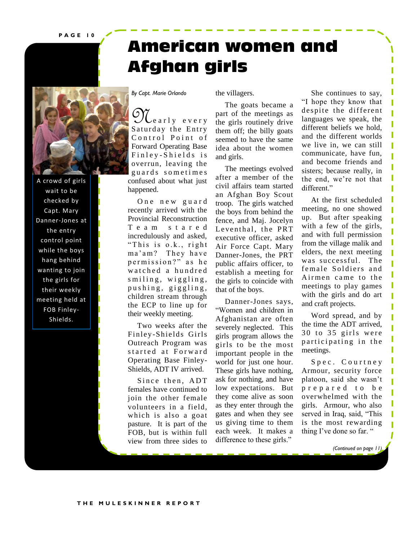**P A G E 1 0**

## **American women and Afghan girls**



A crowd of girls wait to be checked by Capt. Mary Danner-Jones at the entry control point while the boys hang behind wanting to join the girls for their weekly meeting held at FOB Finley-Shields.

*By Capt. Marie Orlando*

the villagers.

Ne a r l y e v e r y Saturday the Entry Control Point of Forward Operating Base Finley-Shields is overrun, leaving the guards sometimes confused about what just happened.

One new guard recently arrived with the Provincial Reconstruction T e a m s t a r e d incredulously and asked, "This is o.k., right ma'am? They have permission?" as he watched a hundred  $s$  miling, wiggling, pushing, giggling, children stream through the ECP to line up for their weekly meeting.

 Two weeks after the Finley-Shields Girls Outreach Program was started at Forward Operating Base Finley-Shields, ADT IV arrived.

Since then, ADT females have continued to join the other female volunteers in a field, which is also a goat pasture. It is part of the FOB, but is within full view from three sides to

 The goats became a part of the meetings as the girls routinely drive them off; the billy goats seemed to have the same idea about the women and girls.

 The meetings evolved after a member of the civil affairs team started an Afghan Boy Scout troop. The girls watched the boys from behind the fence, and Maj. Jocelyn Leventhal, the PRT executive officer, asked Air Force Capt. Mary Danner-Jones, the PRT public affairs officer, to establish a meeting for the girls to coincide with that of the boys.

 Danner-Jones says, "Women and children in Afghanistan are often severely neglected. This girls program allows the girls to be the most important people in the world for just one hour. These girls have nothing, ask for nothing, and have low expectations. But they come alive as soon as they enter through the gates and when they see us giving time to them each week. It makes a difference to these girls."

 She continues to say, "I hope they know that despite the different languages we speak, the different beliefs we hold, and the different worlds we live in, we can still communicate, have fun, and become friends and sisters; because really, in the end, we're not that different."

I

П

П Π

I П

 At the first scheduled meeting, no one showed up. But after speaking with a few of the girls, and with full permission from the village malik and elders, the next meeting was successful. The female Soldiers and Airmen came to the meetings to play games with the girls and do art and craft projects.

 Word spread, and by the time the ADT arrived,  $30$  to  $35$  girls were participating in the meetings.

Spec. Courtney Armour, security force platoon, said she wasn't p r e p a r e d t o b e overwhelmed with the girls. Armour, who also served in Iraq, said, "This is the most rewarding thing I've done so far. "

*(Continued on page 11)*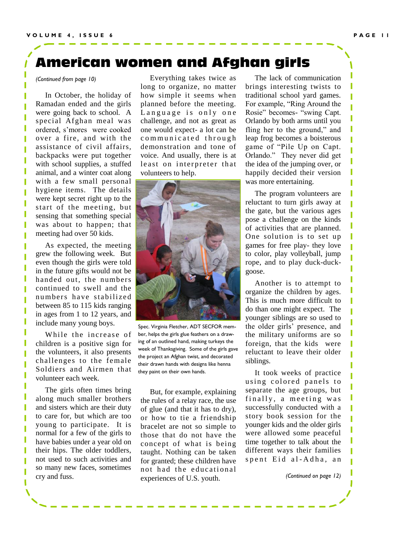### **American women and Afghan girls**

*(Continued from page 10)*

 In October, the holiday of Ramadan ended and the girls were going back to school. A special Afghan meal was ordered, s'mores were cooked over a fire, and with the assistance of civil affairs, backpacks were put together with school supplies, a stuffed animal, and a winter coat along with a few small personal hygiene items. The details were kept secret right up to the start of the meeting, but sensing that something special was about to happen; that meeting had over 50 kids.

 As expected, the meeting grew the following week. But even though the girls were told in the future gifts would not be handed out, the numbers continued to swell and the numbers have stabilized between 85 to 115 kids ranging in ages from 1 to 12 years, and include many young boys.

While the increase of children is a positive sign for the volunteers, it also presents challenges to the female Soldiers and Airmen that volunteer each week.

 The girls often times bring along much smaller brothers and sisters which are their duty to care for, but which are too young to participate. It is normal for a few of the girls to have babies under a year old on their hips. The older toddlers, not used to such activities and so many new faces, sometimes cry and fuss.

I

 Everything takes twice as long to organize, no matter how simple it seems when planned before the meeting. Language is only one challenge, and not as great as one would expect- a lot can be communicated through demonstration and tone of voice. And usually, there is at least on interpreter that volunteers to help.



Spec. Virginia Fletcher, ADT SECFOR member, helps the girls glue feathers on a drawing of an outlined hand, making turkeys the week of Thanksgiving. Some of the girls gave the project an Afghan twist, and decorated their drawn hands with designs like henna they paint on their own hands.

 But, for example, explaining the rules of a relay race, the use of glue (and that it has to dry), or how to tie a friendship bracelet are not so simple to those that do not have the concept of what is being taught. Nothing can be taken for granted; these children have not had the educational experiences of U.S. youth.

 The lack of communication brings interesting twists to traditional school yard games. For example, "Ring Around the Rosie" becomes- "swing Capt. Orlando by both arms until you fling her to the ground," and leap frog becomes a boisterous game of "Pile Up on Capt. Orlando." They never did get the idea of the jumping over, or happily decided their version was more entertaining.

 The program volunteers are reluctant to turn girls away at the gate, but the various ages pose a challenge on the kinds of activities that are planned. One solution is to set up games for free play- they love to color, play volleyball, jump rope, and to play duck-duckgoose.

 Another is to attempt to organize the children by ages. This is much more difficult to do than one might expect. The younger siblings are so used to the older girls' presence, and the military uniforms are so foreign, that the kids were reluctant to leave their older siblings.

 It took weeks of practice using colored panels to separate the age groups, but finally, a meeting was successfully conducted with a story book session for the younger kids and the older girls were allowed some peaceful time together to talk about the different ways their families spent Eid al-Adha, an

*(Continued on page 12)*

ı